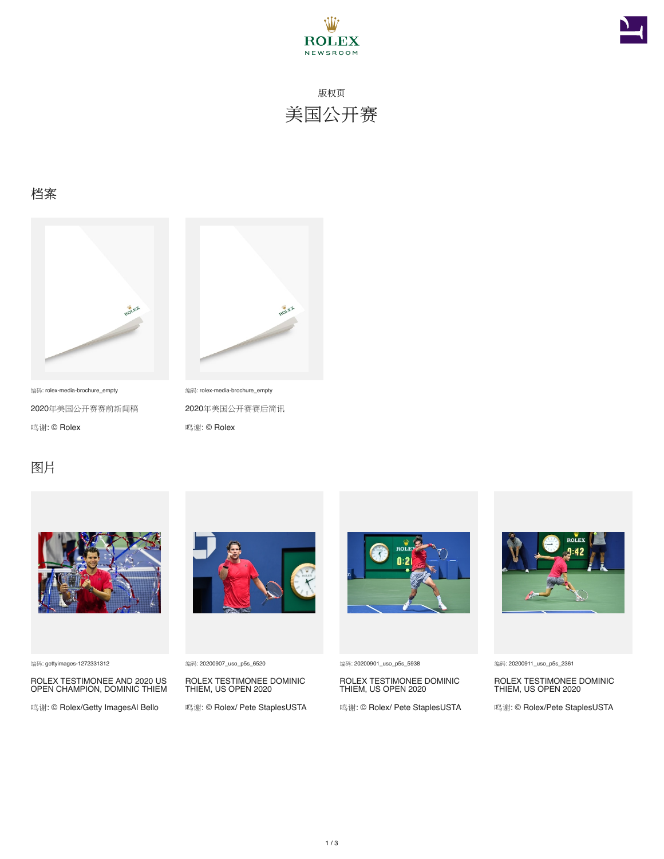



版权页 美国公开赛

#### 档案



编码: rolex-media-brochure\_empty 2020年美国公开赛赛前新闻稿 鸣谢: © Rolex



编码: rolex-media-brochure\_empty 2020年美国公开赛赛后简讯

鸣谢: © Rolex

#### 图片



编码: gettyimages-1272331312

ROLEX TESTIMONEE AND 2020 US OPEN CHAMPION, DOMINIC THIEM

鸣谢: © Rolex/Getty ImagesAl Bello



编码: 20200907\_uso\_p5s\_6520

ROLEX TESTIMONEE DOMINIC THIEM, US OPEN 2020

鸣谢: © Rolex/ Pete StaplesUSTA



编码: 20200901\_uso\_p5s\_5938

ROLEX TESTIMONEE DOMINIC THIEM, US OPEN 2020

鸣谢: © Rolex/ Pete StaplesUSTA



#### 编码: 20200911\_uso\_p5s\_2361

ROLEX TESTIMONEE DOMINIC THIEM, US OPEN 2020

鸣谢: © Rolex/Pete StaplesUSTA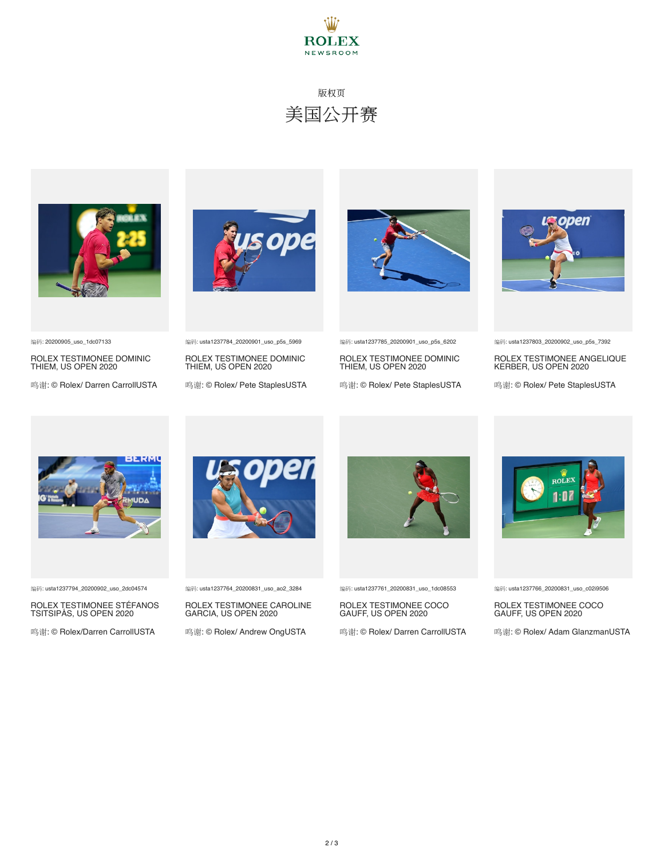

## 版权页 美国公开赛



编码: 20200905\_uso\_1dc07133

ROLEX TESTIMONEE DOMINIC THIEM, US OPEN 2020

鸣谢: © Rolex/ Darren CarrollUSTA





ROLEX TESTIMONEE DOMINIC THIEM, US OPEN 2020

鸣谢: © Rolex/ Pete StaplesUSTA



编码: usta1237785\_20200901\_uso\_p5s\_6202

ROLEX TESTIMONEE DOMINIC THIEM, US OPEN 2020

鸣谢: © Rolex/ Pete StaplesUSTA



编码: usta1237803\_20200902\_uso\_p5s\_7392

ROLEX TESTIMONEE ANGELIQUE KERBER, US OPEN 2020

鸣谢: © Rolex/ Pete StaplesUSTA



编码: usta1237794\_20200902\_uso\_2dc04574

ROLEX TESTIMONEE STÉFANOS TSITSIPÁS, US OPEN 2020

鸣谢: © Rolex/Darren CarrollUSTA



编码: usta1237764\_20200831\_uso\_ao2\_3284

ROLEX TESTIMONEE CAROLINE GARCIA, US OPEN 2020

鸣谢: © Rolex/ Andrew OngUSTA



编码: usta1237761\_20200831\_uso\_1dc08553

ROLEX TESTIMONEE COCO GAUFF, US OPEN 2020

鸣谢: © Rolex/ Darren CarrollUSTA



编码: usta1237766\_20200831\_uso\_c02i9506

ROLEX TESTIMONEE COCO GAUFF, US OPEN 2020

鸣谢: © Rolex/ Adam GlanzmanUSTA